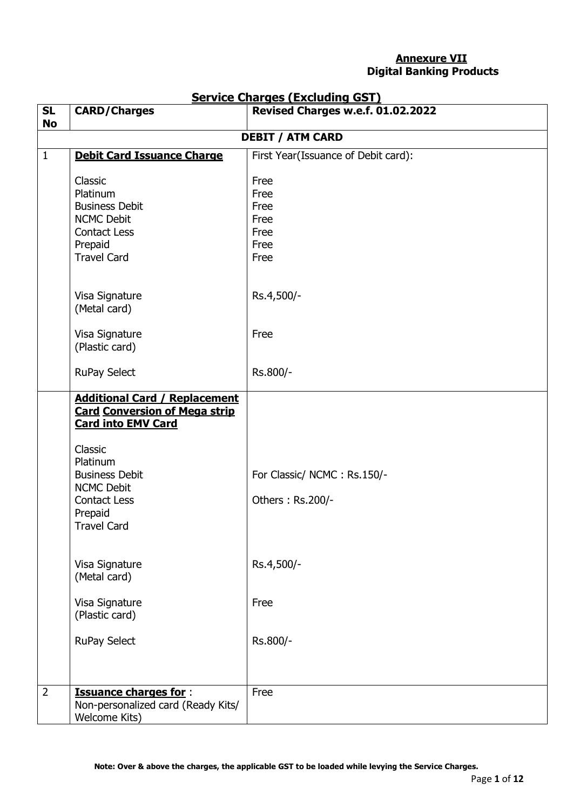## **Annexure VII Digital Banking Products**

| <b>SL</b>      | <b>CARD/Charges</b>                  | <u> Service Charges (Excluding GST)</u><br>Revised Charges w.e.f. 01.02.2022 |
|----------------|--------------------------------------|------------------------------------------------------------------------------|
| <b>No</b>      |                                      |                                                                              |
|                |                                      | <b>DEBIT / ATM CARD</b>                                                      |
| $\mathbf{1}$   | <b>Debit Card Issuance Charge</b>    | First Year(Issuance of Debit card):                                          |
|                |                                      |                                                                              |
|                | Classic                              | Free                                                                         |
|                | Platinum                             | Free                                                                         |
|                | <b>Business Debit</b>                | Free                                                                         |
|                | <b>NCMC Debit</b>                    | Free                                                                         |
|                | <b>Contact Less</b>                  | Free                                                                         |
|                | Prepaid                              | Free                                                                         |
|                | <b>Travel Card</b>                   | Free                                                                         |
|                |                                      |                                                                              |
|                | Visa Signature                       | Rs.4,500/-                                                                   |
|                | (Metal card)                         |                                                                              |
|                |                                      |                                                                              |
|                | Visa Signature                       | Free                                                                         |
|                | (Plastic card)                       |                                                                              |
|                |                                      |                                                                              |
|                | <b>RuPay Select</b>                  | Rs.800/-                                                                     |
|                | <b>Additional Card / Replacement</b> |                                                                              |
|                | <b>Card Conversion of Mega strip</b> |                                                                              |
|                | <b>Card into EMV Card</b>            |                                                                              |
|                |                                      |                                                                              |
|                | Classic                              |                                                                              |
|                | Platinum                             |                                                                              |
|                | <b>Business Debit</b>                | For Classic/ NCMC: Rs.150/-                                                  |
|                | <b>NCMC Debit</b>                    |                                                                              |
|                | <b>Contact Less</b>                  | Others: Rs.200/-                                                             |
|                | Prepaid                              |                                                                              |
|                | <b>Travel Card</b>                   |                                                                              |
|                |                                      |                                                                              |
|                | Visa Signature                       | Rs.4,500/-                                                                   |
|                | (Metal card)                         |                                                                              |
|                |                                      |                                                                              |
|                | Visa Signature                       | Free                                                                         |
|                | (Plastic card)                       |                                                                              |
|                |                                      |                                                                              |
|                | <b>RuPay Select</b>                  | Rs.800/-                                                                     |
|                |                                      |                                                                              |
|                |                                      |                                                                              |
| $\overline{2}$ | <b>Issuance charges for:</b>         | Free                                                                         |
|                | Non-personalized card (Ready Kits/   |                                                                              |
|                | Welcome Kits)                        |                                                                              |

## **Service Charges (Excluding GST)**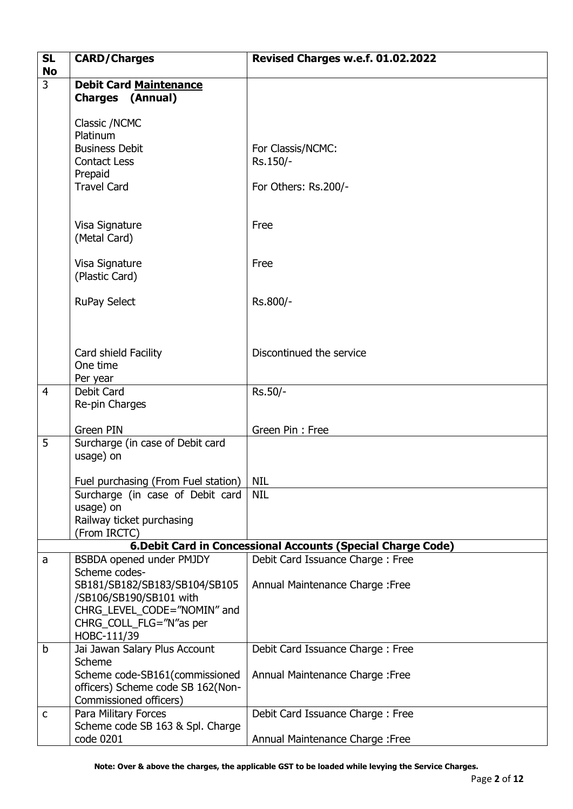| <b>SL</b><br><b>No</b> | <b>CARD/Charges</b>                                      | Revised Charges w.e.f. 01.02.2022                            |
|------------------------|----------------------------------------------------------|--------------------------------------------------------------|
| $\overline{3}$         | <b>Debit Card Maintenance</b>                            |                                                              |
|                        | <b>Charges (Annual)</b>                                  |                                                              |
|                        | Classic /NCMC                                            |                                                              |
|                        | Platinum                                                 |                                                              |
|                        | <b>Business Debit</b>                                    | For Classis/NCMC:                                            |
|                        | <b>Contact Less</b>                                      | Rs.150/-                                                     |
|                        | Prepaid<br><b>Travel Card</b>                            | For Others: Rs.200/-                                         |
|                        |                                                          |                                                              |
|                        |                                                          |                                                              |
|                        | Visa Signature                                           | Free                                                         |
|                        | (Metal Card)                                             |                                                              |
|                        | Visa Signature                                           | Free                                                         |
|                        | (Plastic Card)                                           |                                                              |
|                        | <b>RuPay Select</b>                                      | Rs.800/-                                                     |
|                        |                                                          |                                                              |
|                        |                                                          |                                                              |
|                        | Card shield Facility                                     | Discontinued the service                                     |
|                        | One time                                                 |                                                              |
|                        | Per year                                                 |                                                              |
| $\overline{4}$         | Debit Card                                               | Rs.50/-                                                      |
|                        | Re-pin Charges                                           |                                                              |
|                        | Green PIN                                                | Green Pin: Free                                              |
| 5                      | Surcharge (in case of Debit card                         |                                                              |
|                        | usage) on                                                |                                                              |
|                        | Fuel purchasing (From Fuel station)                      | <b>NIL</b>                                                   |
|                        | Surcharge (in case of Debit card                         | <b>NIL</b>                                                   |
|                        | usage) on                                                |                                                              |
|                        | Railway ticket purchasing<br>(From IRCTC)                |                                                              |
|                        |                                                          | 6. Debit Card in Concessional Accounts (Special Charge Code) |
| a                      | BSBDA opened under PMJDY                                 | Debit Card Issuance Charge: Free                             |
|                        | Scheme codes-<br>SB181/SB182/SB183/SB104/SB105           |                                                              |
|                        | /SB106/SB190/SB101 with                                  | Annual Maintenance Charge : Free                             |
|                        | CHRG_LEVEL_CODE="NOMIN" and                              |                                                              |
|                        | CHRG_COLL_FLG="N"as per                                  |                                                              |
|                        | HOBC-111/39                                              |                                                              |
| b                      | Jai Jawan Salary Plus Account<br>Scheme                  | Debit Card Issuance Charge: Free                             |
|                        | Scheme code-SB161(commissioned                           | Annual Maintenance Charge: Free                              |
|                        | officers) Scheme code SB 162(Non-                        |                                                              |
|                        | Commissioned officers)                                   |                                                              |
| $\mathsf{C}$           | Para Military Forces<br>Scheme code SB 163 & Spl. Charge | Debit Card Issuance Charge: Free                             |
|                        | code 0201                                                | Annual Maintenance Charge : Free                             |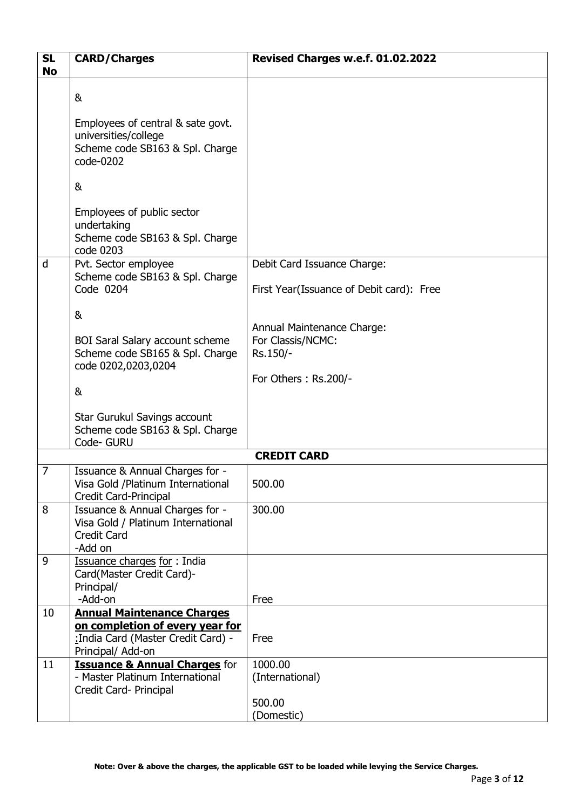| <b>SL</b><br><b>No</b> | <b>CARD/Charges</b>                                                                                                              | Revised Charges w.e.f. 01.02.2022                                                   |
|------------------------|----------------------------------------------------------------------------------------------------------------------------------|-------------------------------------------------------------------------------------|
|                        | &<br>Employees of central & sate govt.<br>universities/college<br>Scheme code SB163 & Spl. Charge                                |                                                                                     |
|                        | code-0202<br>&                                                                                                                   |                                                                                     |
|                        | Employees of public sector<br>undertaking<br>Scheme code SB163 & Spl. Charge<br>code 0203                                        |                                                                                     |
| d                      | Pvt. Sector employee<br>Scheme code SB163 & Spl. Charge<br>Code 0204                                                             | Debit Card Issuance Charge:<br>First Year(Issuance of Debit card): Free             |
|                        | &<br><b>BOI Saral Salary account scheme</b><br>Scheme code SB165 & Spl. Charge<br>code 0202,0203,0204<br>&                       | Annual Maintenance Charge:<br>For Classis/NCMC:<br>Rs.150/-<br>For Others: Rs.200/- |
|                        | Star Gurukul Savings account<br>Scheme code SB163 & Spl. Charge<br>Code- GURU                                                    |                                                                                     |
|                        |                                                                                                                                  | <b>CREDIT CARD</b>                                                                  |
| $\overline{7}$         | Issuance & Annual Charges for -<br>Visa Gold / Platinum International<br><b>Credit Card-Principal</b>                            | 500.00                                                                              |
| 8                      | Issuance & Annual Charges for -<br>Visa Gold / Platinum International<br><b>Credit Card</b><br>-Add on                           | 300.00                                                                              |
| 9                      | Issuance charges for: India<br>Card(Master Credit Card)-<br>Principal/<br>-Add-on                                                | Free                                                                                |
| 10                     | <b>Annual Maintenance Charges</b><br>on completion of every year for<br>: India Card (Master Credit Card) -<br>Principal/ Add-on | Free                                                                                |
| 11                     | <b>Issuance &amp; Annual Charges for</b><br>- Master Platinum International<br>Credit Card- Principal                            | 1000.00<br>(International)                                                          |
|                        |                                                                                                                                  | 500.00<br>(Domestic)                                                                |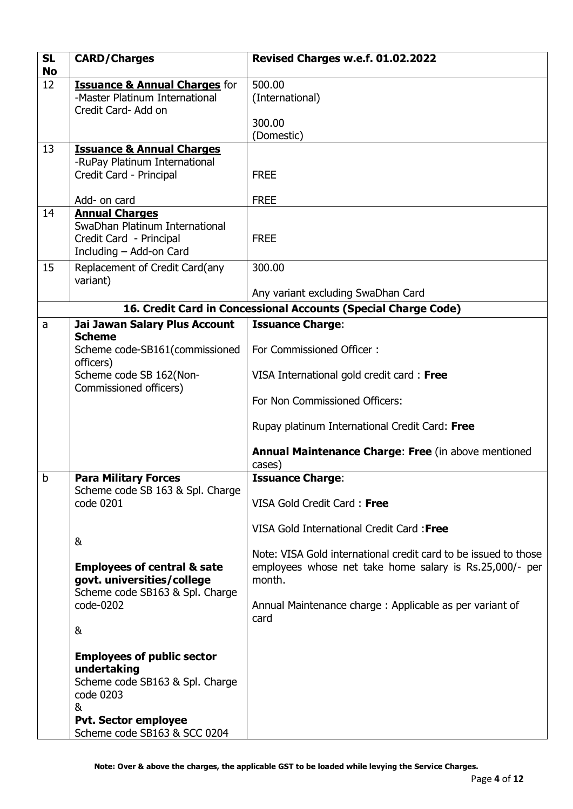| <b>SL</b><br><b>No</b> | <b>CARD/Charges</b>                                                                               | Revised Charges w.e.f. 01.02.2022                                                                                                    |
|------------------------|---------------------------------------------------------------------------------------------------|--------------------------------------------------------------------------------------------------------------------------------------|
| 12                     | <b>Issuance &amp; Annual Charges for</b><br>-Master Platinum International<br>Credit Card- Add on | 500.00<br>(International)                                                                                                            |
|                        |                                                                                                   | 300.00<br>(Domestic)                                                                                                                 |
| 13                     | <b>Issuance &amp; Annual Charges</b><br>-RuPay Platinum International<br>Credit Card - Principal  | <b>FREE</b>                                                                                                                          |
| 14                     | Add- on card<br><b>Annual Charges</b>                                                             | <b>FREE</b>                                                                                                                          |
|                        | SwaDhan Platinum International<br>Credit Card - Principal<br>Including - Add-on Card              | <b>FREE</b>                                                                                                                          |
| 15                     | Replacement of Credit Card(any<br>variant)                                                        | 300.00                                                                                                                               |
|                        |                                                                                                   | Any variant excluding SwaDhan Card                                                                                                   |
|                        |                                                                                                   | 16. Credit Card in Concessional Accounts (Special Charge Code)                                                                       |
| a                      | Jai Jawan Salary Plus Account                                                                     | <b>Issuance Charge:</b>                                                                                                              |
|                        | <b>Scheme</b><br>Scheme code-SB161(commissioned<br>officers)                                      | For Commissioned Officer:                                                                                                            |
|                        | Scheme code SB 162(Non-<br>Commissioned officers)                                                 | VISA International gold credit card: Free                                                                                            |
|                        |                                                                                                   | For Non Commissioned Officers:                                                                                                       |
|                        |                                                                                                   | Rupay platinum International Credit Card: Free                                                                                       |
|                        |                                                                                                   | Annual Maintenance Charge: Free (in above mentioned<br>cases)                                                                        |
| b                      | <b>Para Military Forces</b>                                                                       | <b>Issuance Charge:</b>                                                                                                              |
|                        | Scheme code SB 163 & Spl. Charge<br>code 0201                                                     | VISA Gold Credit Card: Free                                                                                                          |
|                        | &                                                                                                 | VISA Gold International Credit Card: Free                                                                                            |
|                        | <b>Employees of central &amp; sate</b><br>govt. universities/college                              | Note: VISA Gold international credit card to be issued to those<br>employees whose net take home salary is Rs.25,000/- per<br>month. |
|                        | Scheme code SB163 & Spl. Charge<br>code-0202                                                      | Annual Maintenance charge: Applicable as per variant of<br>card                                                                      |
|                        | &                                                                                                 |                                                                                                                                      |
|                        | <b>Employees of public sector</b>                                                                 |                                                                                                                                      |
|                        | undertaking<br>Scheme code SB163 & Spl. Charge                                                    |                                                                                                                                      |
|                        | code 0203                                                                                         |                                                                                                                                      |
|                        | &<br><b>Pvt. Sector employee</b>                                                                  |                                                                                                                                      |
|                        | Scheme code SB163 & SCC 0204                                                                      |                                                                                                                                      |

**Note: Over & above the charges, the applicable GST to be loaded while levying the Service Charges.**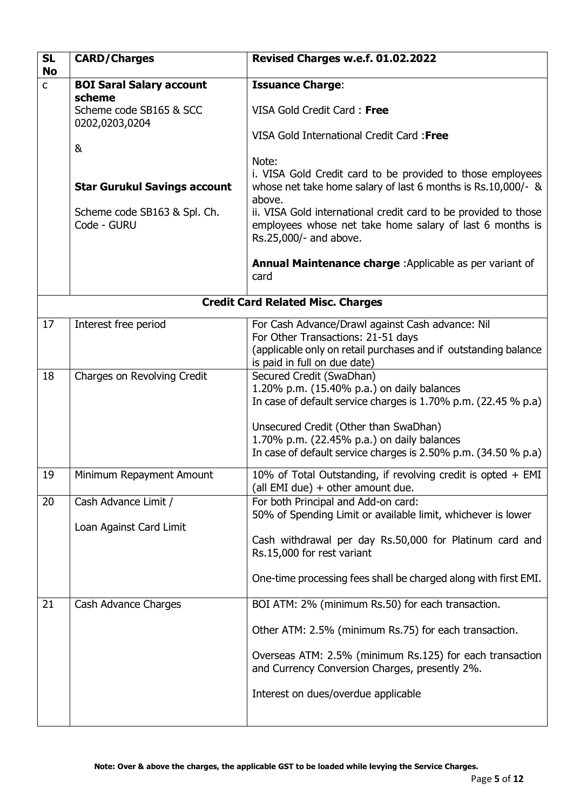| <b>SL</b><br><b>No</b> | <b>CARD/Charges</b>                                                                         | Revised Charges w.e.f. 01.02.2022                                                                                                                                                                                                                                                                                                                                  |
|------------------------|---------------------------------------------------------------------------------------------|--------------------------------------------------------------------------------------------------------------------------------------------------------------------------------------------------------------------------------------------------------------------------------------------------------------------------------------------------------------------|
| $\mathsf{C}$           | <b>BOI Saral Salary account</b><br>scheme<br>Scheme code SB165 & SCC<br>0202,0203,0204<br>& | <b>Issuance Charge:</b><br>VISA Gold Credit Card: Free<br>VISA Gold International Credit Card: Free                                                                                                                                                                                                                                                                |
|                        | <b>Star Gurukul Savings account</b><br>Scheme code SB163 & Spl. Ch.<br>Code - GURU          | Note:<br>i. VISA Gold Credit card to be provided to those employees<br>whose net take home salary of last 6 months is Rs.10,000/- &<br>above.<br>ii. VISA Gold international credit card to be provided to those<br>employees whose net take home salary of last 6 months is<br>Rs.25,000/- and above.<br>Annual Maintenance charge : Applicable as per variant of |
|                        |                                                                                             | card                                                                                                                                                                                                                                                                                                                                                               |
|                        |                                                                                             | <b>Credit Card Related Misc. Charges</b>                                                                                                                                                                                                                                                                                                                           |
| 17                     | Interest free period                                                                        | For Cash Advance/Drawl against Cash advance: Nil<br>For Other Transactions: 21-51 days<br>(applicable only on retail purchases and if outstanding balance<br>is paid in full on due date)                                                                                                                                                                          |
| 18                     | Charges on Revolving Credit                                                                 | Secured Credit (SwaDhan)<br>1.20% p.m. (15.40% p.a.) on daily balances<br>In case of default service charges is 1.70% p.m. (22.45 % p.a)<br>Unsecured Credit (Other than SwaDhan)<br>1.70% p.m. (22.45% p.a.) on daily balances<br>In case of default service charges is 2.50% p.m. (34.50 % p.a)                                                                  |
| 19                     | Minimum Repayment Amount                                                                    | 10% of Total Outstanding, if revolving credit is opted $+$ EMI<br>(all EMI due) + other amount due.                                                                                                                                                                                                                                                                |
| 20                     | Cash Advance Limit /<br>Loan Against Card Limit                                             | For both Principal and Add-on card:<br>50% of Spending Limit or available limit, whichever is lower<br>Cash withdrawal per day Rs.50,000 for Platinum card and<br>Rs.15,000 for rest variant<br>One-time processing fees shall be charged along with first EMI.                                                                                                    |
| 21                     | Cash Advance Charges                                                                        | BOI ATM: 2% (minimum Rs.50) for each transaction.<br>Other ATM: 2.5% (minimum Rs.75) for each transaction.<br>Overseas ATM: 2.5% (minimum Rs.125) for each transaction<br>and Currency Conversion Charges, presently 2%.<br>Interest on dues/overdue applicable                                                                                                    |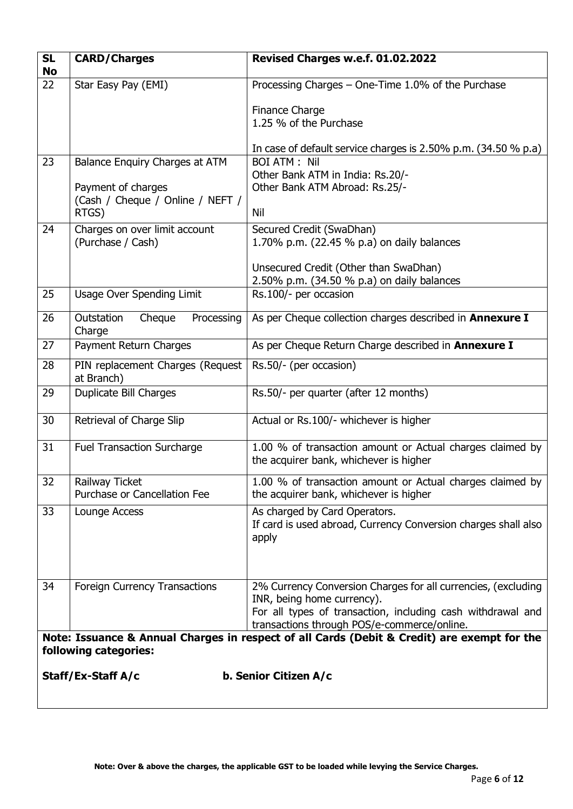| <b>SL</b><br><b>No</b> | <b>CARD/Charges</b>                                   | Revised Charges w.e.f. 01.02.2022                                                                                                                                                                         |
|------------------------|-------------------------------------------------------|-----------------------------------------------------------------------------------------------------------------------------------------------------------------------------------------------------------|
| 22                     | Star Easy Pay (EMI)                                   | Processing Charges - One-Time 1.0% of the Purchase                                                                                                                                                        |
|                        |                                                       | Finance Charge<br>1.25 % of the Purchase                                                                                                                                                                  |
|                        |                                                       | In case of default service charges is 2.50% p.m. (34.50 % p.a)                                                                                                                                            |
| 23                     | Balance Enquiry Charges at ATM                        | <b>BOI ATM: Nil</b>                                                                                                                                                                                       |
|                        | Payment of charges                                    | Other Bank ATM in India: Rs.20/-<br>Other Bank ATM Abroad: Rs.25/-                                                                                                                                        |
|                        | (Cash / Cheque / Online / NEFT /                      |                                                                                                                                                                                                           |
|                        | RTGS)                                                 | Nil                                                                                                                                                                                                       |
| 24                     | Charges on over limit account                         | Secured Credit (SwaDhan)                                                                                                                                                                                  |
|                        | (Purchase / Cash)                                     | 1.70% p.m. (22.45 % p.a) on daily balances                                                                                                                                                                |
|                        |                                                       | Unsecured Credit (Other than SwaDhan)                                                                                                                                                                     |
|                        |                                                       | 2.50% p.m. (34.50 % p.a) on daily balances                                                                                                                                                                |
| 25                     | <b>Usage Over Spending Limit</b>                      | Rs.100/- per occasion                                                                                                                                                                                     |
| 26                     | Outstation<br>Processing<br>Cheque<br>Charge          | As per Cheque collection charges described in Annexure I                                                                                                                                                  |
| 27                     | Payment Return Charges                                | As per Cheque Return Charge described in Annexure I                                                                                                                                                       |
| 28                     | PIN replacement Charges (Request<br>at Branch)        | Rs.50/- (per occasion)                                                                                                                                                                                    |
| 29                     | <b>Duplicate Bill Charges</b>                         | Rs.50/- per quarter (after 12 months)                                                                                                                                                                     |
| 30                     | Retrieval of Charge Slip                              | Actual or Rs.100/- whichever is higher                                                                                                                                                                    |
| 31                     | <b>Fuel Transaction Surcharge</b>                     | 1.00 % of transaction amount or Actual charges claimed by<br>the acquirer bank, whichever is higher                                                                                                       |
| 32                     | <b>Railway Ticket</b><br>Purchase or Cancellation Fee | 1.00 % of transaction amount or Actual charges claimed by<br>the acquirer bank, whichever is higher                                                                                                       |
| 33                     | Lounge Access                                         | As charged by Card Operators.<br>If card is used abroad, Currency Conversion charges shall also<br>apply                                                                                                  |
| 34                     | Foreign Currency Transactions                         | 2% Currency Conversion Charges for all currencies, (excluding<br>INR, being home currency).<br>For all types of transaction, including cash withdrawal and<br>transactions through POS/e-commerce/online. |
|                        | following categories:                                 | Note: Issuance & Annual Charges in respect of all Cards (Debit & Credit) are exempt for the                                                                                                               |
|                        | Staff/Ex-Staff A/c                                    | b. Senior Citizen A/c                                                                                                                                                                                     |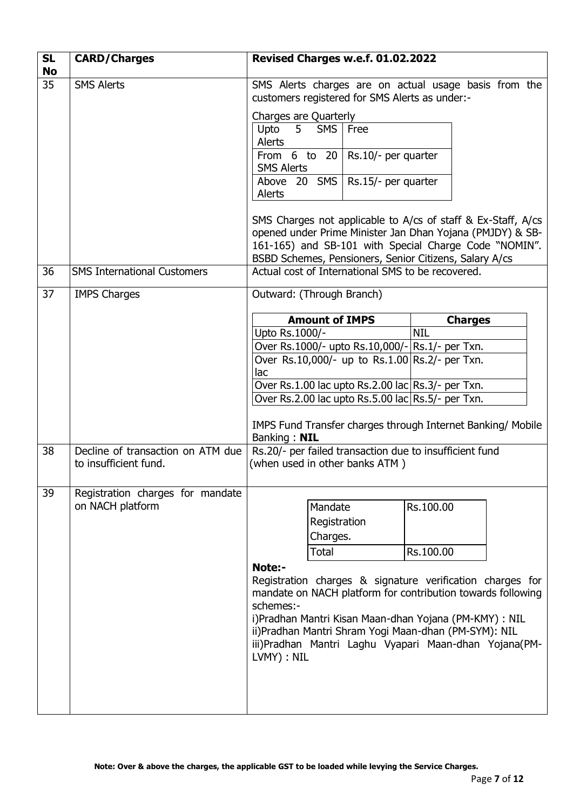| <b>SL</b><br><b>No</b> | <b>CARD/Charges</b>                | Revised Charges w.e.f. 01.02.2022                                                                                                                                                                                                                                                                                                          |      |            |                |  |
|------------------------|------------------------------------|--------------------------------------------------------------------------------------------------------------------------------------------------------------------------------------------------------------------------------------------------------------------------------------------------------------------------------------------|------|------------|----------------|--|
| 35                     | <b>SMS Alerts</b>                  | SMS Alerts charges are on actual usage basis from the<br>customers registered for SMS Alerts as under:-                                                                                                                                                                                                                                    |      |            |                |  |
|                        |                                    | Charges are Quarterly                                                                                                                                                                                                                                                                                                                      |      |            |                |  |
|                        |                                    | 5 <sub>1</sub><br>Upto<br><b>SMS</b><br>Alerts                                                                                                                                                                                                                                                                                             | Free |            |                |  |
|                        |                                    | From 6 to 20 $\vert$ Rs.10/- per quarter<br><b>SMS Alerts</b>                                                                                                                                                                                                                                                                              |      |            |                |  |
|                        |                                    | Above 20 SMS   Rs.15/- per quarter                                                                                                                                                                                                                                                                                                         |      |            |                |  |
|                        |                                    | Alerts                                                                                                                                                                                                                                                                                                                                     |      |            |                |  |
|                        |                                    | SMS Charges not applicable to A/cs of staff & Ex-Staff, A/cs<br>opened under Prime Minister Jan Dhan Yojana (PMJDY) & SB-<br>161-165) and SB-101 with Special Charge Code "NOMIN".<br>BSBD Schemes, Pensioners, Senior Citizens, Salary A/cs                                                                                               |      |            |                |  |
| 36                     | <b>SMS International Customers</b> | Actual cost of International SMS to be recovered.                                                                                                                                                                                                                                                                                          |      |            |                |  |
|                        |                                    |                                                                                                                                                                                                                                                                                                                                            |      |            |                |  |
| 37                     | <b>IMPS Charges</b>                | Outward: (Through Branch)                                                                                                                                                                                                                                                                                                                  |      |            |                |  |
|                        |                                    | <b>Amount of IMPS</b>                                                                                                                                                                                                                                                                                                                      |      |            | <b>Charges</b> |  |
|                        |                                    | Upto Rs.1000/-                                                                                                                                                                                                                                                                                                                             |      | <b>NIL</b> |                |  |
|                        |                                    | Over Rs.1000/- upto Rs.10,000/- Rs.1/- per Txn.                                                                                                                                                                                                                                                                                            |      |            |                |  |
|                        |                                    | Over Rs.10,000/- up to Rs.1.00 Rs.2/- per Txn.                                                                                                                                                                                                                                                                                             |      |            |                |  |
|                        |                                    | lac                                                                                                                                                                                                                                                                                                                                        |      |            |                |  |
|                        |                                    | Over Rs.1.00 lac upto Rs.2.00 lac $\text{Rs.3/-}$ per Txn.<br>Over Rs.2.00 lac upto Rs.5.00 lac Rs.5/- per Txn.                                                                                                                                                                                                                            |      |            |                |  |
|                        |                                    |                                                                                                                                                                                                                                                                                                                                            |      |            |                |  |
|                        |                                    | IMPS Fund Transfer charges through Internet Banking/ Mobile<br>Banking: NIL                                                                                                                                                                                                                                                                |      |            |                |  |
| 38                     | Decline of transaction on ATM due  | Rs.20/- per failed transaction due to insufficient fund                                                                                                                                                                                                                                                                                    |      |            |                |  |
|                        | to insufficient fund.              | (when used in other banks ATM)                                                                                                                                                                                                                                                                                                             |      |            |                |  |
| 39                     | Registration charges for mandate   |                                                                                                                                                                                                                                                                                                                                            |      |            |                |  |
|                        | on NACH platform                   | Mandate                                                                                                                                                                                                                                                                                                                                    |      | Rs.100.00  |                |  |
|                        |                                    | Registration                                                                                                                                                                                                                                                                                                                               |      |            |                |  |
|                        |                                    | Charges.                                                                                                                                                                                                                                                                                                                                   |      |            |                |  |
|                        |                                    | <b>Total</b>                                                                                                                                                                                                                                                                                                                               |      | Rs.100.00  |                |  |
|                        |                                    | Note:-<br>Registration charges & signature verification charges for<br>mandate on NACH platform for contribution towards following<br>schemes:-<br>i)Pradhan Mantri Kisan Maan-dhan Yojana (PM-KMY) : NIL<br>ii) Pradhan Mantri Shram Yogi Maan-dhan (PM-SYM): NIL<br>iii)Pradhan Mantri Laghu Vyapari Maan-dhan Yojana(PM-<br>LVMY) : NIL |      |            |                |  |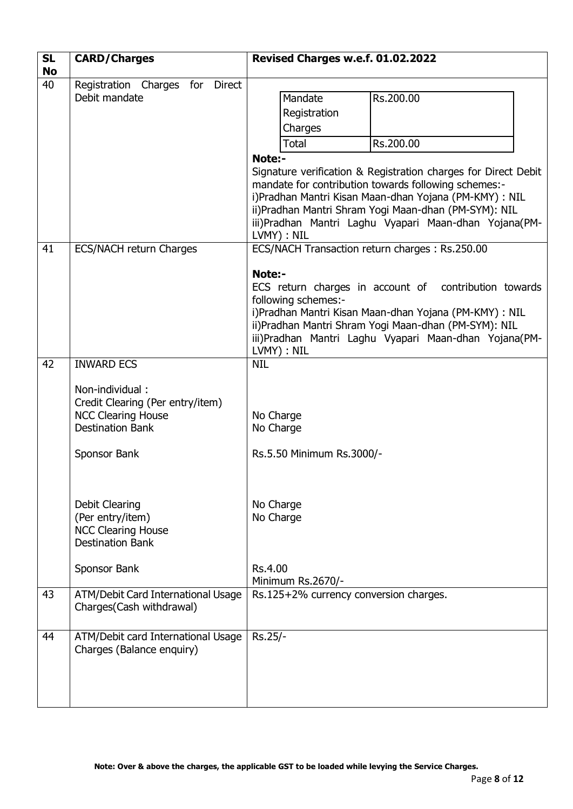| <b>SL</b><br><b>No</b> | <b>CARD/Charges</b>                                                                                                                                                | Revised Charges w.e.f. 01.02.2022                                                                                                                                                                                                                                                                                                                                                                          |  |  |
|------------------------|--------------------------------------------------------------------------------------------------------------------------------------------------------------------|------------------------------------------------------------------------------------------------------------------------------------------------------------------------------------------------------------------------------------------------------------------------------------------------------------------------------------------------------------------------------------------------------------|--|--|
| 40                     | Registration Charges for Direct<br>Debit mandate                                                                                                                   | Mandate<br>Rs.200.00<br>Registration<br>Charges<br><b>Total</b><br>Rs.200.00<br>Note:-<br>Signature verification & Registration charges for Direct Debit<br>mandate for contribution towards following schemes:-<br>i)Pradhan Mantri Kisan Maan-dhan Yojana (PM-KMY) : NIL<br>ii)Pradhan Mantri Shram Yogi Maan-dhan (PM-SYM): NIL<br>iii)Pradhan Mantri Laghu Vyapari Maan-dhan Yojana(PM-<br>LVMY) : NIL |  |  |
| 41                     | <b>ECS/NACH return Charges</b>                                                                                                                                     | ECS/NACH Transaction return charges: Rs.250.00<br>Note:-<br>ECS return charges in account of contribution towards<br>following schemes:-<br>i)Pradhan Mantri Kisan Maan-dhan Yojana (PM-KMY) : NIL<br>ii)Pradhan Mantri Shram Yogi Maan-dhan (PM-SYM): NIL<br>iii)Pradhan Mantri Laghu Vyapari Maan-dhan Yojana(PM-<br>LVMY) : NIL                                                                         |  |  |
| 42                     | <b>INWARD ECS</b><br>Non-individual:<br>Credit Clearing (Per entry/item)<br><b>NCC Clearing House</b><br><b>Destination Bank</b><br>Sponsor Bank<br>Debit Clearing | <b>NIL</b><br>No Charge<br>No Charge<br>Rs.5.50 Minimum Rs.3000/-<br>No Charge                                                                                                                                                                                                                                                                                                                             |  |  |
|                        | (Per entry/item)<br><b>NCC Clearing House</b><br><b>Destination Bank</b><br>Sponsor Bank                                                                           | No Charge<br>Rs.4.00<br>Minimum Rs.2670/-                                                                                                                                                                                                                                                                                                                                                                  |  |  |
| 43                     | ATM/Debit Card International Usage<br>Charges(Cash withdrawal)                                                                                                     | Rs.125+2% currency conversion charges.                                                                                                                                                                                                                                                                                                                                                                     |  |  |
| 44                     | ATM/Debit card International Usage<br>Charges (Balance enquiry)                                                                                                    | Rs.25/-                                                                                                                                                                                                                                                                                                                                                                                                    |  |  |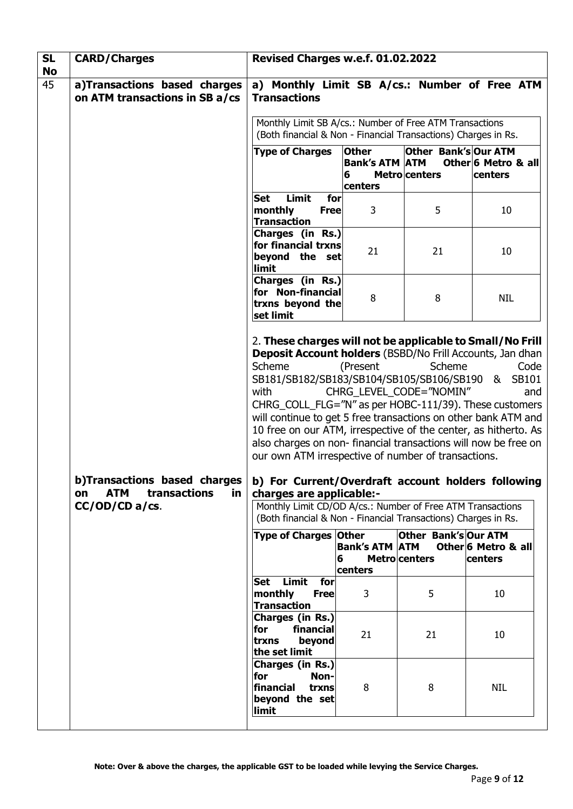| <b>SL</b>                                                                                                                        | <b>CARD/Charges</b>            | Revised Charges w.e.f. 01.02.2022                                                                                                                                                                                                                                                                                                                                                                                                                                                                                                                                                                                                                                                                                                             |                                   |                                                           |                                               |
|----------------------------------------------------------------------------------------------------------------------------------|--------------------------------|-----------------------------------------------------------------------------------------------------------------------------------------------------------------------------------------------------------------------------------------------------------------------------------------------------------------------------------------------------------------------------------------------------------------------------------------------------------------------------------------------------------------------------------------------------------------------------------------------------------------------------------------------------------------------------------------------------------------------------------------------|-----------------------------------|-----------------------------------------------------------|-----------------------------------------------|
| <b>No</b><br>45                                                                                                                  | a)Transactions based charges   | a) Monthly Limit SB A/cs.: Number of Free ATM                                                                                                                                                                                                                                                                                                                                                                                                                                                                                                                                                                                                                                                                                                 |                                   |                                                           |                                               |
|                                                                                                                                  | on ATM transactions in SB a/cs | <b>Transactions</b>                                                                                                                                                                                                                                                                                                                                                                                                                                                                                                                                                                                                                                                                                                                           |                                   |                                                           |                                               |
|                                                                                                                                  |                                | Monthly Limit SB A/cs.: Number of Free ATM Transactions<br>(Both financial & Non - Financial Transactions) Charges in Rs.                                                                                                                                                                                                                                                                                                                                                                                                                                                                                                                                                                                                                     |                                   |                                                           |                                               |
|                                                                                                                                  |                                | <b>Type of Charges</b>                                                                                                                                                                                                                                                                                                                                                                                                                                                                                                                                                                                                                                                                                                                        | <b>Other</b>                      | Other Bank's Our ATM                                      |                                               |
|                                                                                                                                  |                                |                                                                                                                                                                                                                                                                                                                                                                                                                                                                                                                                                                                                                                                                                                                                               | <b>Bank's ATM ATM</b>             |                                                           | Other 6 Metro & all                           |
|                                                                                                                                  |                                |                                                                                                                                                                                                                                                                                                                                                                                                                                                                                                                                                                                                                                                                                                                                               | 6                                 | <b>Metro</b> centers                                      | centers                                       |
|                                                                                                                                  |                                | Limit<br>for<br><b>Set</b>                                                                                                                                                                                                                                                                                                                                                                                                                                                                                                                                                                                                                                                                                                                    | centers                           |                                                           |                                               |
|                                                                                                                                  |                                | monthly<br><b>Free</b><br><b>Transaction</b>                                                                                                                                                                                                                                                                                                                                                                                                                                                                                                                                                                                                                                                                                                  | 3                                 | 5                                                         | 10                                            |
|                                                                                                                                  |                                | Charges (in Rs.)<br>for financial trxns                                                                                                                                                                                                                                                                                                                                                                                                                                                                                                                                                                                                                                                                                                       |                                   |                                                           |                                               |
|                                                                                                                                  |                                | beyond the set<br>limit                                                                                                                                                                                                                                                                                                                                                                                                                                                                                                                                                                                                                                                                                                                       | 21                                | 21                                                        | 10                                            |
|                                                                                                                                  |                                | Charges (in Rs.)<br>for Non-financial<br>trxns beyond the                                                                                                                                                                                                                                                                                                                                                                                                                                                                                                                                                                                                                                                                                     | 8                                 | 8                                                         | <b>NIL</b>                                    |
| set limit<br>Scheme<br>with<br>b)Transactions based charges<br><b>ATM</b><br>transactions<br><u>in</u><br>on<br>$CC/OD/CD$ a/cs. |                                | 2. These charges will not be applicable to Small/No Frill<br>Deposit Account holders (BSBD/No Frill Accounts, Jan dhan<br>SB181/SB182/SB183/SB104/SB105/SB106/SB190<br>CHRG_COLL_FLG="N" as per HOBC-111/39). These customers<br>will continue to get 5 free transactions on other bank ATM and<br>10 free on our ATM, irrespective of the center, as hitherto. As<br>also charges on non-financial transactions will now be free on<br>our own ATM irrespective of number of transactions.<br>b) For Current/Overdraft account holders following<br>charges are applicable:-<br>Monthly Limit CD/OD A/cs.: Number of Free ATM Transactions<br>(Both financial & Non - Financial Transactions) Charges in Rs.<br><b>Type of Charges Other</b> | (Present<br><b>Bank's ATM ATM</b> | Scheme<br>CHRG_LEVEL_CODE="NOMIN"<br>Other Bank's Our ATM | Code<br>& SB101<br>and<br>Other 6 Metro & all |
|                                                                                                                                  |                                | 6                                                                                                                                                                                                                                                                                                                                                                                                                                                                                                                                                                                                                                                                                                                                             |                                   | <b>Metro</b> centers                                      | centers                                       |
|                                                                                                                                  |                                |                                                                                                                                                                                                                                                                                                                                                                                                                                                                                                                                                                                                                                                                                                                                               | centers                           |                                                           |                                               |
|                                                                                                                                  |                                | Limit<br>for<br><b>Set</b><br>monthly<br><b>Free</b><br><b>Transaction</b>                                                                                                                                                                                                                                                                                                                                                                                                                                                                                                                                                                                                                                                                    | 3                                 | 5                                                         | 10                                            |
|                                                                                                                                  |                                | Charges (in Rs.)<br>financial<br>for<br>beyond<br>trxns<br>the set limit                                                                                                                                                                                                                                                                                                                                                                                                                                                                                                                                                                                                                                                                      | 21                                | 21                                                        | 10                                            |
|                                                                                                                                  |                                | Charges (in Rs.)<br>for<br>Non-<br>financial<br>trxns<br>beyond the set<br>limit                                                                                                                                                                                                                                                                                                                                                                                                                                                                                                                                                                                                                                                              | 8                                 | 8                                                         | <b>NIL</b>                                    |
|                                                                                                                                  |                                |                                                                                                                                                                                                                                                                                                                                                                                                                                                                                                                                                                                                                                                                                                                                               |                                   |                                                           |                                               |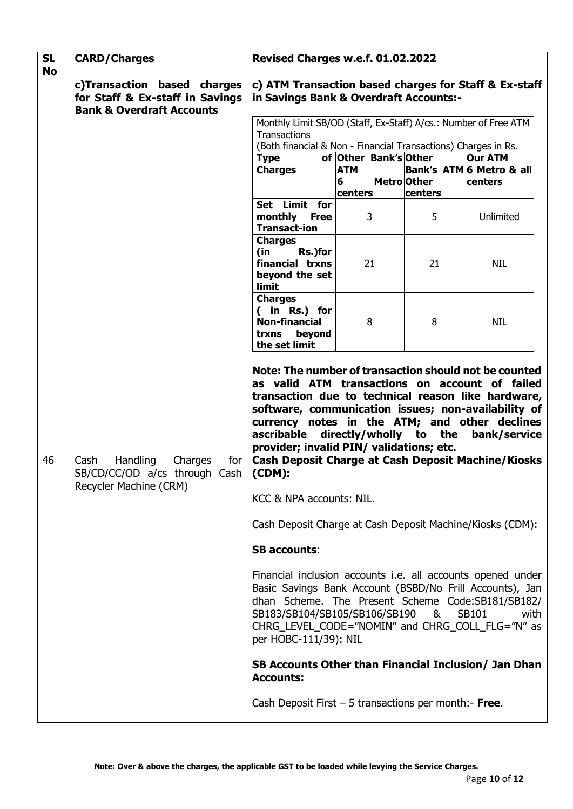| <b>SL</b><br><b>No</b> | <b>CARD/Charges</b>                                                                                        | Revised Charges w.e.f. 01.02.2022                                                                                                                                                                                                                                                                                                                      |                                                     |                               |                                                       |
|------------------------|------------------------------------------------------------------------------------------------------------|--------------------------------------------------------------------------------------------------------------------------------------------------------------------------------------------------------------------------------------------------------------------------------------------------------------------------------------------------------|-----------------------------------------------------|-------------------------------|-------------------------------------------------------|
|                        | c)Transaction based charges<br>for Staff & Ex-staff in Savings<br><b>Bank &amp; Overdraft Accounts</b>     | c) ATM Transaction based charges for Staff & Ex-staff<br>in Savings Bank & Overdraft Accounts:-<br>Monthly Limit SB/OD (Staff, Ex-Staff) A/cs.: Number of Free ATM<br>Transactions<br>(Both financial & Non - Financial Transactions) Charges in Rs.                                                                                                   |                                                     |                               |                                                       |
|                        |                                                                                                            |                                                                                                                                                                                                                                                                                                                                                        |                                                     |                               |                                                       |
|                        |                                                                                                            | <b>Type</b><br><b>Charges</b>                                                                                                                                                                                                                                                                                                                          | of Other Bank's Other<br><b>ATM</b><br>6<br>centers | <b>MetrolOther</b><br>centers | <b>Our ATM</b><br>Bank's ATM 6 Metro & all<br>centers |
|                        |                                                                                                            | Set Limit for<br>monthly Free<br><b>Transact-ion</b>                                                                                                                                                                                                                                                                                                   | 3                                                   | 5                             | Unlimited                                             |
|                        |                                                                                                            | <b>Charges</b><br>(in<br>Rs.)for<br>financial trxns<br>beyond the set<br>limit                                                                                                                                                                                                                                                                         | 21                                                  | 21                            | <b>NIL</b>                                            |
|                        |                                                                                                            | <b>Charges</b><br>( in Rs.) for<br><b>Non-financial</b><br>trxns<br>beyond<br>the set limit                                                                                                                                                                                                                                                            | 8                                                   | 8                             | <b>NIL</b>                                            |
|                        |                                                                                                            | Note: The number of transaction should not be counted<br>as valid ATM transactions on account of failed<br>transaction due to technical reason like hardware,<br>software, communication issues; non-availability of<br>currency notes in the ATM; and other declines<br>ascribable directly/wholly to the<br>provider; invalid PIN/ validations; etc. |                                                     |                               | bank/service                                          |
| 46                     | Handling<br>for <sub>1</sub><br>Cash<br>Charges<br>SB/CD/CC/OD a/cs through Cash<br>Recycler Machine (CRM) | Cash Deposit Charge at Cash Deposit Machine/Kiosks<br>(CDM):                                                                                                                                                                                                                                                                                           |                                                     |                               |                                                       |
|                        |                                                                                                            | KCC & NPA accounts: NIL.<br>Cash Deposit Charge at Cash Deposit Machine/Kiosks (CDM):                                                                                                                                                                                                                                                                  |                                                     |                               |                                                       |
|                        |                                                                                                            | <b>SB accounts:</b>                                                                                                                                                                                                                                                                                                                                    |                                                     |                               |                                                       |
|                        |                                                                                                            | Financial inclusion accounts i.e. all accounts opened under<br>Basic Savings Bank Account (BSBD/No Frill Accounts), Jan<br>dhan Scheme. The Present Scheme Code:SB181/SB182/<br>SB183/SB104/SB105/SB106/SB190<br>SB101<br>&<br>with<br>CHRG_LEVEL_CODE="NOMIN" and CHRG_COLL_FLG="N" as<br>per HOBC-111/39): NIL                                       |                                                     |                               |                                                       |
|                        |                                                                                                            | SB Accounts Other than Financial Inclusion/ Jan Dhan<br><b>Accounts:</b>                                                                                                                                                                                                                                                                               |                                                     |                               |                                                       |
|                        |                                                                                                            | Cash Deposit First $-5$ transactions per month:- Free.                                                                                                                                                                                                                                                                                                 |                                                     |                               |                                                       |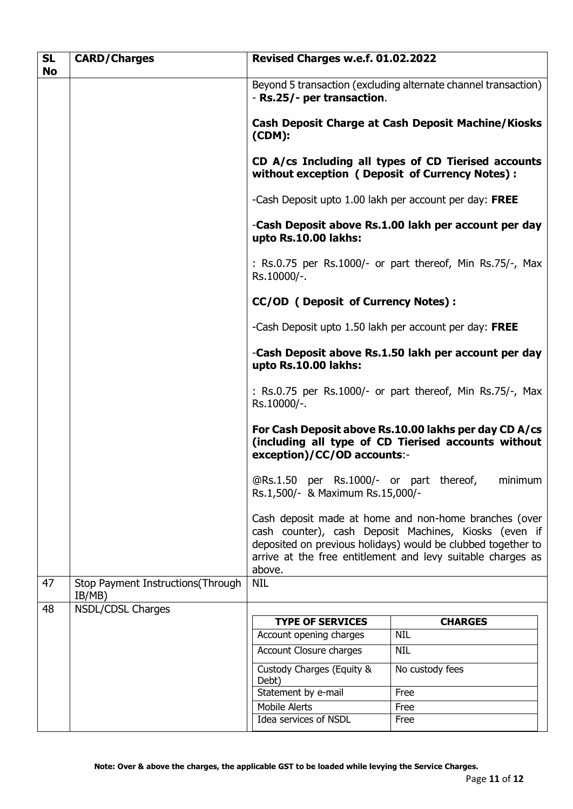| <b>SL</b><br><b>No</b> | <b>CARD/Charges</b>                         | Revised Charges w.e.f. 01.02.2022                                                                                                                                                                                                                       |                          |  |  |
|------------------------|---------------------------------------------|---------------------------------------------------------------------------------------------------------------------------------------------------------------------------------------------------------------------------------------------------------|--------------------------|--|--|
|                        |                                             | Beyond 5 transaction (excluding alternate channel transaction)<br>- Rs.25/- per transaction.                                                                                                                                                            |                          |  |  |
|                        |                                             | <b>Cash Deposit Charge at Cash Deposit Machine/Kiosks</b><br>(CDM):                                                                                                                                                                                     |                          |  |  |
|                        |                                             | CD A/cs Including all types of CD Tierised accounts<br>without exception ( Deposit of Currency Notes):                                                                                                                                                  |                          |  |  |
|                        |                                             | -Cash Deposit upto 1.00 lakh per account per day: FREE                                                                                                                                                                                                  |                          |  |  |
|                        |                                             | -Cash Deposit above Rs.1.00 lakh per account per day<br>upto Rs.10.00 lakhs:                                                                                                                                                                            |                          |  |  |
|                        |                                             | : Rs.0.75 per Rs.1000/- or part thereof, Min Rs.75/-, Max<br>Rs.10000/-.                                                                                                                                                                                |                          |  |  |
|                        |                                             | <b>CC/OD (Deposit of Currency Notes):</b>                                                                                                                                                                                                               |                          |  |  |
|                        |                                             | -Cash Deposit upto 1.50 lakh per account per day: FREE                                                                                                                                                                                                  |                          |  |  |
|                        |                                             | -Cash Deposit above Rs.1.50 lakh per account per day<br>upto Rs.10.00 lakhs:                                                                                                                                                                            |                          |  |  |
|                        |                                             | : Rs.0.75 per Rs.1000/- or part thereof, Min Rs.75/-, Max<br>Rs.10000/-.                                                                                                                                                                                |                          |  |  |
|                        |                                             | For Cash Deposit above Rs.10.00 lakhs per day CD A/cs<br>(including all type of CD Tierised accounts without<br>exception)/CC/OD accounts:-                                                                                                             |                          |  |  |
|                        |                                             | @Rs.1.50 per Rs.1000/- or part thereof,<br>minimum<br>Rs.1,500/- & Maximum Rs.15,000/-                                                                                                                                                                  |                          |  |  |
|                        |                                             | Cash deposit made at home and non-home branches (over<br>cash counter), cash Deposit Machines, Kiosks (even if<br>deposited on previous holidays) would be clubbed together to<br>arrive at the free entitlement and levy suitable charges as<br>above. |                          |  |  |
| 47                     | Stop Payment Instructions(Through<br>IB/MB) | <b>NIL</b>                                                                                                                                                                                                                                              |                          |  |  |
| 48                     | <b>NSDL/CDSL Charges</b>                    |                                                                                                                                                                                                                                                         |                          |  |  |
|                        |                                             | <b>TYPE OF SERVICES</b>                                                                                                                                                                                                                                 | <b>CHARGES</b>           |  |  |
|                        |                                             | Account opening charges<br>Account Closure charges                                                                                                                                                                                                      | <b>NIL</b><br><b>NIL</b> |  |  |
|                        |                                             |                                                                                                                                                                                                                                                         |                          |  |  |
|                        |                                             | Custody Charges (Equity &<br>Debt)                                                                                                                                                                                                                      | No custody fees          |  |  |
|                        |                                             | Statement by e-mail                                                                                                                                                                                                                                     | Free                     |  |  |
|                        |                                             | <b>Mobile Alerts</b>                                                                                                                                                                                                                                    | Free                     |  |  |
|                        |                                             | Idea services of NSDL                                                                                                                                                                                                                                   | Free                     |  |  |